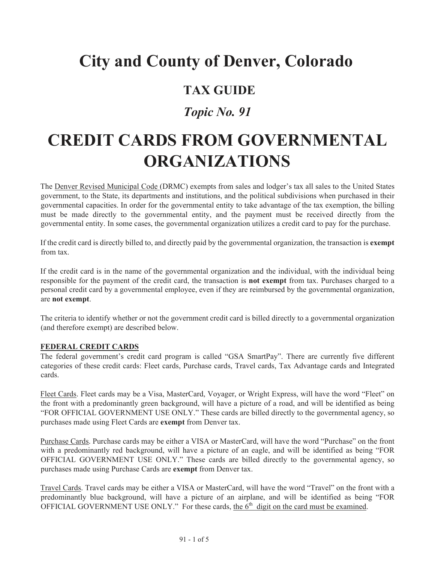# **City and County of Denver, Colorado**

# **TAX GUIDE**

# *Topic No. 91*

# **CREDIT CARDS FROM GOVERNMENTAL ORGANIZATIONS**

The Denver Revised Municipal Code (DRMC) exempts from sales and lodger's tax all sales to the United States government, to the State, its departments and institutions, and the political subdivisions when purchased in their governmental capacities. In order for the governmental entity to take advantage of the tax exemption, the billing must be made directly to the governmental entity, and the payment must be received directly from the governmental entity. In some cases, the governmental organization utilizes a credit card to pay for the purchase.

If the credit card is directly billed to, and directly paid by the governmental organization, the transaction is **exempt**  from tax.

If the credit card is in the name of the governmental organization and the individual, with the individual being responsible for the payment of the credit card, the transaction is **not exempt** from tax. Purchases charged to a personal credit card by a governmental employee, even if they are reimbursed by the governmental organization, are **not exempt**.

The criteria to identify whether or not the government credit card is billed directly to a governmental organization (and therefore exempt) are described below.

### **FEDERAL CREDIT CARDS**

The federal government's credit card program is called "GSA SmartPay". There are currently five different categories of these credit cards: Fleet cards, Purchase cards, Travel cards, Tax Advantage cards and Integrated cards.

Fleet Cards. Fleet cards may be a Visa, MasterCard, Voyager, or Wright Express, will have the word "Fleet" on the front with a predominantly green background, will have a picture of a road, and will be identified as being "FOR OFFICIAL GOVERNMENT USE ONLY." These cards are billed directly to the governmental agency, so purchases made using Fleet Cards are **exempt** from Denver tax.

Purchase Cards. Purchase cards may be either a VISA or MasterCard, will have the word "Purchase" on the front with a predominantly red background, will have a picture of an eagle, and will be identified as being "FOR OFFICIAL GOVERNMENT USE ONLY." These cards are billed directly to the governmental agency, so purchases made using Purchase Cards are **exempt** from Denver tax.

Travel Cards. Travel cards may be either a VISA or MasterCard, will have the word "Travel" on the front with a predominantly blue background, will have a picture of an airplane, and will be identified as being "FOR OFFICIAL GOVERNMENT USE ONLY." For these cards, the  $6<sup>th</sup>$  digit on the card must be examined.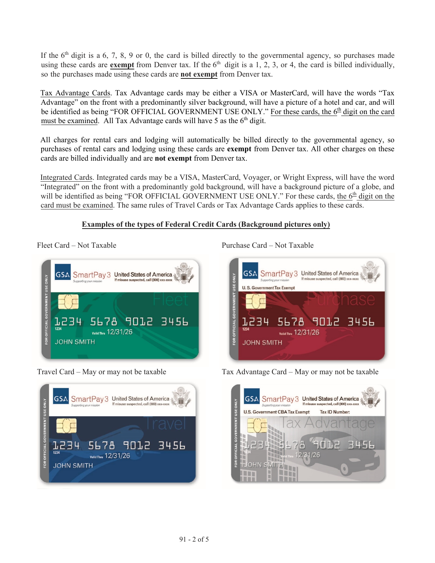If the  $6<sup>th</sup>$  digit is a 6, 7, 8, 9 or 0, the card is billed directly to the governmental agency, so purchases made using these cards are **exempt** from Denver tax. If the  $6<sup>th</sup>$  digit is a 1, 2, 3, or 4, the card is billed individually, so the purchases made using these cards are **not exempt** from Denver tax.

Tax Advantage Cards. Tax Advantage cards may be either a VISA or MasterCard, will have the words "Tax Advantage" on the front with a predominantly silver background, will have a picture of a hotel and car, and will be identified as being "FOR OFFICIAL GOVERNMENT USE ONLY." For these cards, the  $6<sup>th</sup>$  digit on the card must be examined. All Tax Advantage cards will have 5 as the  $6<sup>th</sup>$  digit.

All charges for rental cars and lodging will automatically be billed directly to the governmental agency, so purchases of rental cars and lodging using these cards are **exempt** from Denver tax. All other charges on these cards are billed individually and are **not exempt** from Denver tax.

Integrated Cards. Integrated cards may be a VISA, MasterCard, Voyager, or Wright Express, will have the word "Integrated" on the front with a predominantly gold background, will have a background picture of a globe, and will be identified as being "FOR OFFICIAL GOVERNMENT USE ONLY." For these cards, the 6<sup>th</sup> digit on the card must be examined. The same rules of Travel Cards or Tax Advantage Cards applies to these cards.

## **Examples of the types of Federal Credit Cards (Background pictures only)**





Fleet Card – Not Taxable **Purchase Card – Not Taxable** Purchase Card – Not Taxable



Travel Card – May or may not be taxable Tax Advantage Card – May or may not be taxable

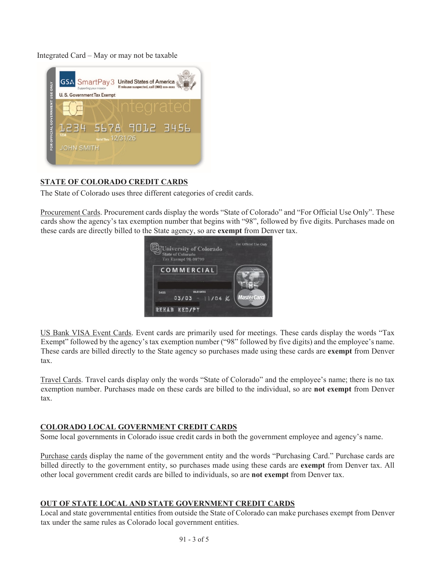Integrated Card – May or may not be taxable



## **STATE OF COLORADO CREDIT CARDS**

The State of Colorado uses three different categories of credit cards.

Procurement Cards. Procurement cards display the words "State of Colorado" and "For Official Use Only". These cards show the agency's tax exemption number that begins with "98", followed by five digits. Purchases made on these cards are directly billed to the State agency, so are **exempt** from Denver tax.



US Bank VISA Event Cards. Event cards are primarily used for meetings. These cards display the words "Tax Exempt" followed by the agency's tax exemption number ("98" followed by five digits) and the employee's name. These cards are billed directly to the State agency so purchases made using these cards are **exempt** from Denver tax.

Travel Cards. Travel cards display only the words "State of Colorado" and the employee's name; there is no tax exemption number. Purchases made on these cards are billed to the individual, so are **not exempt** from Denver tax.

#### **COLORADO LOCAL GOVERNMENT CREDIT CARDS**

Some local governments in Colorado issue credit cards in both the government employee and agency's name.

Purchase cards display the name of the government entity and the words "Purchasing Card." Purchase cards are billed directly to the government entity, so purchases made using these cards are **exempt** from Denver tax. All other local government credit cards are billed to individuals, so are **not exempt** from Denver tax.

#### **OUT OF STATE LOCAL AND STATE GOVERNMENT CREDIT CARDS**

Local and state governmental entities from outside the State of Colorado can make purchases exempt from Denver tax under the same rules as Colorado local government entities.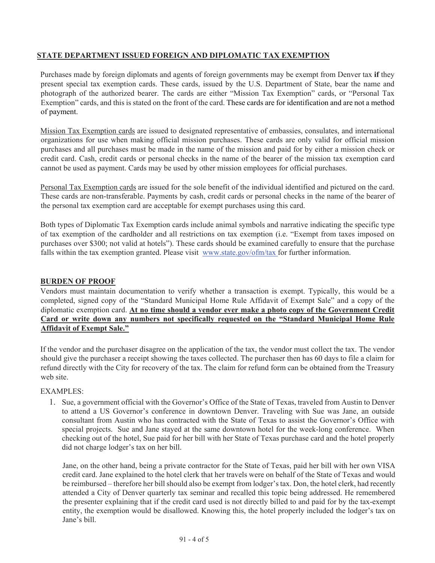### **STATE DEPARTMENT ISSUED FOREIGN AND DIPLOMATIC TAX EXEMPTION**

Purchases made by foreign diplomats and agents of foreign governments may be exempt from Denver tax **if** they present special tax exemption cards. These cards, issued by the U.S. Department of State, bear the name and photograph of the authorized bearer. The cards are either "Mission Tax Exemption" cards, or "Personal Tax Exemption" cards, and this is stated on the front of the card. These cards are for identification and are not a method of payment.

Mission Tax Exemption cards are issued to designated representative of embassies, consulates, and international organizations for use when making official mission purchases. These cards are only valid for official mission purchases and all purchases must be made in the name of the mission and paid for by either a mission check or credit card. Cash, credit cards or personal checks in the name of the bearer of the mission tax exemption card cannot be used as payment. Cards may be used by other mission employees for official purchases.

Personal Tax Exemption cards are issued for the sole benefit of the individual identified and pictured on the card. These cards are non-transferable. Payments by cash, credit cards or personal checks in the name of the bearer of the personal tax exemption card are acceptable for exempt purchases using this card.

Both types of Diplomatic Tax Exemption cards include animal symbols and narrative indicating the specific type of tax exemption of the cardholder and all restrictions on tax exemption (i.e. "Exempt from taxes imposed on purchases over \$300; not valid at hotels"). These cards should be examined carefully to ensure that the purchase falls within the tax exemption granted. Please visit www.state.gov/ofm/tax for further information.

#### **BURDEN OF PROOF**

Vendors must maintain documentation to verify whether a transaction is exempt. Typically, this would be a completed, signed copy of the "Standard Municipal Home Rule Affidavit of Exempt Sale" and a copy of the diplomatic exemption card. **At no time should a vendor ever make a photo copy of the Government Credit Card or write down any numbers not specifically requested on the "Standard Municipal Home Rule Affidavit of Exempt Sale."**

If the vendor and the purchaser disagree on the application of the tax, the vendor must collect the tax. The vendor should give the purchaser a receipt showing the taxes collected. The purchaser then has 60 days to file a claim for refund directly with the City for recovery of the tax. The claim for refund form can be obtained from the Treasury web site.

#### EXAMPLES:

1. Sue, a government official with the Governor's Office of the State of Texas, traveled from Austin to Denver to attend a US Governor's conference in downtown Denver. Traveling with Sue was Jane, an outside consultant from Austin who has contracted with the State of Texas to assist the Governor's Office with special projects. Sue and Jane stayed at the same downtown hotel for the week-long conference. When checking out of the hotel, Sue paid for her bill with her State of Texas purchase card and the hotel properly did not charge lodger's tax on her bill.

Jane, on the other hand, being a private contractor for the State of Texas, paid her bill with her own VISA credit card. Jane explained to the hotel clerk that her travels were on behalf of the State of Texas and would be reimbursed – therefore her bill should also be exempt from lodger's tax. Don, the hotel clerk, had recently attended a City of Denver quarterly tax seminar and recalled this topic being addressed. He remembered the presenter explaining that if the credit card used is not directly billed to and paid for by the tax-exempt entity, the exemption would be disallowed. Knowing this, the hotel properly included the lodger's tax on Jane's bill.